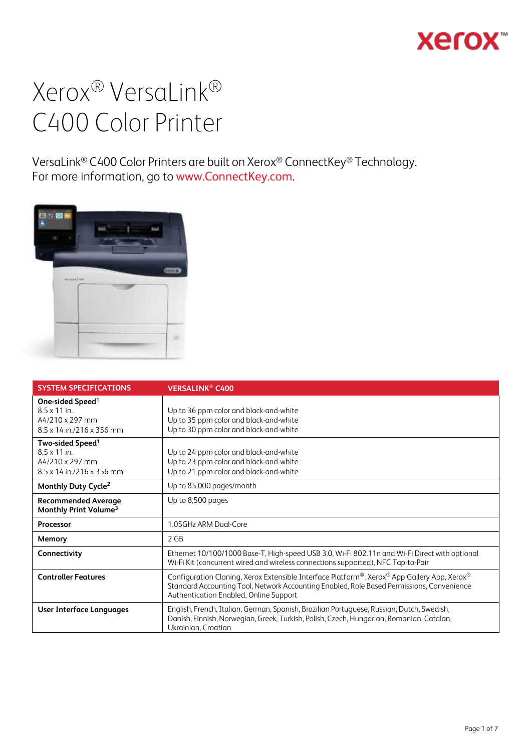## **Xerox**

## Xerox® VersaLink® C400 Color Printer

VersaLink® C400 Color Printers are built on Xerox® ConnectKey® Technology. For more information, go to [www.ConnectKey.com](http://www.connectkey.com/).



| <b>SYSTEM SPECIFICATIONS</b>                                                                                             | <b>VERSALINK<sup>®</sup> C400</b>                                                                                                                                                                                                  |
|--------------------------------------------------------------------------------------------------------------------------|------------------------------------------------------------------------------------------------------------------------------------------------------------------------------------------------------------------------------------|
| One-sided Speed <sup>1</sup><br>$85x11$ in<br>$A4/210 \times 297$ mm<br>$8.5 \times 14$ in./216 $\times$ 356 mm          | Up to 36 ppm color and black-and-white<br>Up to 35 ppm color and black-and-white<br>Up to 30 ppm color and black-and-white                                                                                                         |
| Two-sided Speed <sup>1</sup><br>$8.5 \times 11$ in.<br>$A4/210 \times 297$ mm<br>$8.5 \times 14$ in./216 $\times$ 356 mm | Up to 24 ppm color and black-and-white<br>Up to 23 ppm color and black-and-white<br>Up to 21 ppm color and black-and-white                                                                                                         |
| Monthly Duty Cycle <sup>2</sup>                                                                                          | Up to 85,000 pages/month                                                                                                                                                                                                           |
| <b>Recommended Average</b><br>Monthly Print Volume <sup>3</sup>                                                          | Up to 8,500 pages                                                                                                                                                                                                                  |
| <b>Processor</b>                                                                                                         | 1.05GHz ARM Dual-Core                                                                                                                                                                                                              |
| Memory                                                                                                                   | 2 GB                                                                                                                                                                                                                               |
| Connectivity                                                                                                             | Ethernet 10/100/1000 Base-T, High-speed USB 3.0, Wi-Fi 802.11n and Wi-Fi Direct with optional<br>Wi-Fi Kit (concurrent wired and wireless connections supported), NFC Tap-to-Pair                                                  |
| <b>Controller Features</b>                                                                                               | Configuration Cloning, Xerox Extensible Interface Platform®, Xerox® App Gallery App, Xerox®<br>Standard Accounting Tool, Network Accounting Enabled, Role Based Permissions, Convenience<br>Authentication Enabled, Online Support |
| User Interface Languages                                                                                                 | English, French, Italian, German, Spanish, Brazilian Portuguese, Russian, Dutch, Swedish,<br>Danish, Finnish, Norwegian, Greek, Turkish, Polish, Czech, Hungarian, Romanian, Catalan,<br>Ukrainian, Croatian                       |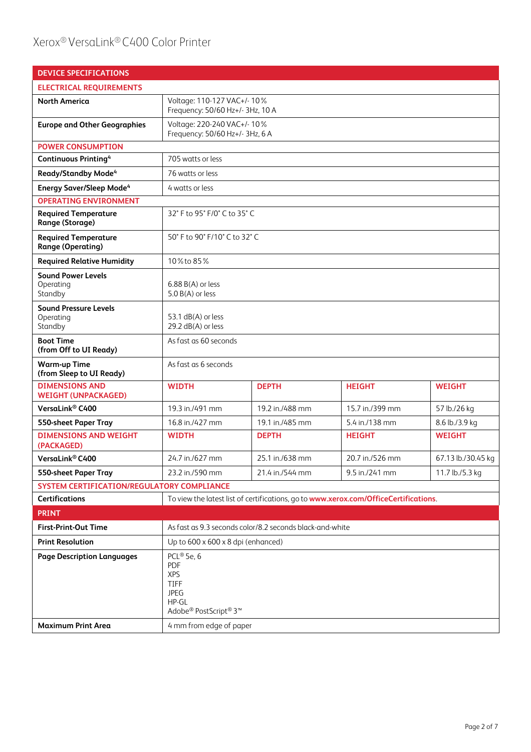## Xerox® VersaLink® C400 Color Printer

| <b>DEVICE SPECIFICATIONS</b>                            |                                                                                                 |                                                          |                                                                                      |                    |
|---------------------------------------------------------|-------------------------------------------------------------------------------------------------|----------------------------------------------------------|--------------------------------------------------------------------------------------|--------------------|
| <b>ELECTRICAL REQUIREMENTS</b>                          |                                                                                                 |                                                          |                                                                                      |                    |
| <b>North America</b>                                    | Voltage: 110-127 VAC+/- 10%<br>Frequency: 50/60 Hz+/- 3Hz, 10 A                                 |                                                          |                                                                                      |                    |
| <b>Europe and Other Geographies</b>                     | Voltage: 220-240 VAC+/- 10%<br>Frequency: 50/60 Hz+/- 3Hz, 6 A                                  |                                                          |                                                                                      |                    |
| <b>POWER CONSUMPTION</b>                                |                                                                                                 |                                                          |                                                                                      |                    |
| Continuous Printing <sup>4</sup>                        | 705 watts or less                                                                               |                                                          |                                                                                      |                    |
| <b>Ready/Standby Mode<sup>4</sup></b>                   | 76 watts or less                                                                                |                                                          |                                                                                      |                    |
| <b>Energy Saver/Sleep Mode<sup>4</sup></b>              | 4 watts or less                                                                                 |                                                          |                                                                                      |                    |
| <b>OPERATING ENVIRONMENT</b>                            |                                                                                                 |                                                          |                                                                                      |                    |
| <b>Required Temperature</b><br>Range (Storage)          |                                                                                                 | 32° F to 95° F/0° C to 35° C                             |                                                                                      |                    |
| <b>Required Temperature</b><br><b>Range (Operating)</b> |                                                                                                 | 50° F to 90° F/10° C to 32° C                            |                                                                                      |                    |
| <b>Required Relative Humidity</b>                       | 10% to 85%                                                                                      |                                                          |                                                                                      |                    |
| <b>Sound Power Levels</b><br>Operating<br>Standby       | $6.88 B(A)$ or less<br>5.0 B(A) or less                                                         |                                                          |                                                                                      |                    |
| <b>Sound Pressure Levels</b><br>Operating<br>Standby    | 53.1 dB(A) or less<br>29.2 dB(A) or less                                                        |                                                          |                                                                                      |                    |
| <b>Boot Time</b><br>(from Off to UI Ready)              | As fast as 60 seconds                                                                           |                                                          |                                                                                      |                    |
| <b>Warm-up Time</b><br>(from Sleep to UI Ready)         | As fast as 6 seconds                                                                            |                                                          |                                                                                      |                    |
| <b>DIMENSIONS AND</b><br><b>WEIGHT (UNPACKAGED)</b>     | <b>WIDTH</b>                                                                                    | <b>DEPTH</b>                                             | <b>HEIGHT</b>                                                                        | <b>WEIGHT</b>      |
| VersaLink <sup>®</sup> C400                             | 19.3 in./491 mm                                                                                 | 19.2 in./488 mm                                          | 15.7 in./399 mm                                                                      | 57 lb./26 kg       |
| 550-sheet Paper Tray                                    | 16.8 in./427 mm                                                                                 | 19.1 in./485 mm                                          | 5.4 in./138 mm                                                                       | 8.6 lb./3.9 kg     |
| <b>DIMENSIONS AND WEIGHT</b><br>(PACKAGED)              | <b>WIDTH</b>                                                                                    | <b>DEPTH</b>                                             | <b>HEIGHT</b>                                                                        | <b>WEIGHT</b>      |
| VersaLink® C400                                         | 24.7 in./627 mm                                                                                 | 25.1 in./638 mm                                          | 20.7 in./526 mm                                                                      | 67.13 lb./30.45 kg |
| 550-sheet Paper Tray                                    | 23.2 in./590 mm                                                                                 | 21.4 in./544 mm                                          | 9.5 in./241 mm                                                                       | 11.7 lb./5.3 kg    |
| SYSTEM CERTIFICATION/REGULATORY COMPLIANCE              |                                                                                                 |                                                          |                                                                                      |                    |
| <b>Certifications</b>                                   |                                                                                                 |                                                          | To view the latest list of certifications, go to www.xerox.com/OfficeCertifications. |                    |
| <b>PRINT</b>                                            |                                                                                                 |                                                          |                                                                                      |                    |
| <b>First-Print-Out Time</b>                             |                                                                                                 | As fast as 9.3 seconds color/8.2 seconds black-and-white |                                                                                      |                    |
| <b>Print Resolution</b>                                 | Up to 600 x 600 x 8 dpi (enhanced)                                                              |                                                          |                                                                                      |                    |
| <b>Page Description Languages</b>                       | PCL® 5e, 6<br>PDF<br><b>XPS</b><br><b>TIFF</b><br><b>JPEG</b><br>HP-GL<br>Adobe® PostScript® 3™ |                                                          |                                                                                      |                    |
| <b>Maximum Print Area</b>                               | 4 mm from edge of paper                                                                         |                                                          |                                                                                      |                    |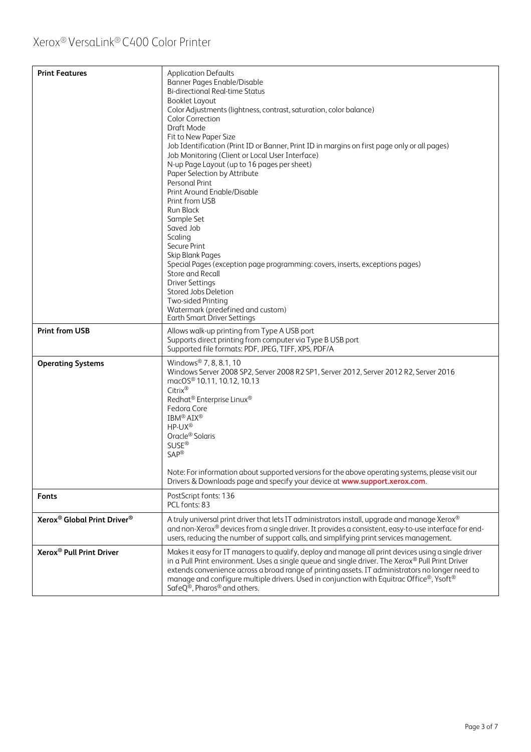| <b>Print Features</b>                               | <b>Application Defaults</b><br>Banner Pages Enable/Disable<br><b>Bi-directional Real-time Status</b><br><b>Booklet Layout</b><br>Color Adjustments (lightness, contrast, saturation, color balance)<br><b>Color Correction</b><br>Draft Mode<br>Fit to New Paper Size<br>Job Identification (Print ID or Banner, Print ID in margins on first page only or all pages)<br>Job Monitoring (Client or Local User Interface)<br>N-up Page Layout (up to 16 pages per sheet)<br>Paper Selection by Attribute<br>Personal Print<br>Print Around Enable/Disable<br>Print from USB<br><b>Run Black</b><br>Sample Set<br>Saved Job<br>Scaling<br>Secure Print<br>Skip Blank Pages<br>Special Pages (exception page programming: covers, inserts, exceptions pages)<br>Store and Recall<br><b>Driver Settings</b><br>Stored Jobs Deletion<br>Two-sided Printing<br>Watermark (predefined and custom)<br>Earth Smart Driver Settings |  |
|-----------------------------------------------------|---------------------------------------------------------------------------------------------------------------------------------------------------------------------------------------------------------------------------------------------------------------------------------------------------------------------------------------------------------------------------------------------------------------------------------------------------------------------------------------------------------------------------------------------------------------------------------------------------------------------------------------------------------------------------------------------------------------------------------------------------------------------------------------------------------------------------------------------------------------------------------------------------------------------------|--|
| <b>Print from USB</b>                               | Allows walk-up printing from Type A USB port<br>Supports direct printing from computer via Type B USB port                                                                                                                                                                                                                                                                                                                                                                                                                                                                                                                                                                                                                                                                                                                                                                                                                |  |
|                                                     | Supported file formats: PDF, JPEG, TIFF, XPS, PDF/A                                                                                                                                                                                                                                                                                                                                                                                                                                                                                                                                                                                                                                                                                                                                                                                                                                                                       |  |
| <b>Operating Systems</b>                            | Windows <sup>®</sup> 7, 8, 8.1, 10<br>Windows Server 2008 SP2, Server 2008 R2 SP1, Server 2012, Server 2012 R2, Server 2016<br>macOS® 10.11, 10.12, 10.13<br>Citrix®<br>Redhat® Enterprise Linux®<br>Fedora Core<br>IBM <sup>®</sup> AIX <sup>®</sup><br>HP-UX®<br>Oracle <sup>®</sup> Solaris<br><b>SUSE®</b><br>SAP <sup>®</sup><br>Note: For information about supported versions for the above operating systems, please visit our<br>Drivers & Downloads page and specify your device at www.support.xerox.com.                                                                                                                                                                                                                                                                                                                                                                                                      |  |
| Fonts                                               | PostScript fonts: 136<br>PCL fonts: 83                                                                                                                                                                                                                                                                                                                                                                                                                                                                                                                                                                                                                                                                                                                                                                                                                                                                                    |  |
| Xerox <sup>®</sup> Global Print Driver <sup>®</sup> | A truly universal print driver that lets IT administrators install, upgrade and manage Xerox®<br>and non-Xerox® devices from a single driver. It provides a consistent, easy-to-use interface for end-<br>users, reducing the number of support calls, and simplifying print services management.                                                                                                                                                                                                                                                                                                                                                                                                                                                                                                                                                                                                                         |  |
| Xerox <sup>®</sup> Pull Print Driver                | Makes it easy for IT managers to qualify, deploy and manage all print devices using a single driver<br>in a Pull Print environment. Uses a single queue and single driver. The Xerox® Pull Print Driver<br>extends convenience across a broad range of printing assets. IT administrators no longer need to<br>manage and configure multiple drivers. Used in conjunction with Equitrac Office®, Ysoft®<br>Safe $Q^{\circledR}$ , Pharos® and others.                                                                                                                                                                                                                                                                                                                                                                                                                                                                     |  |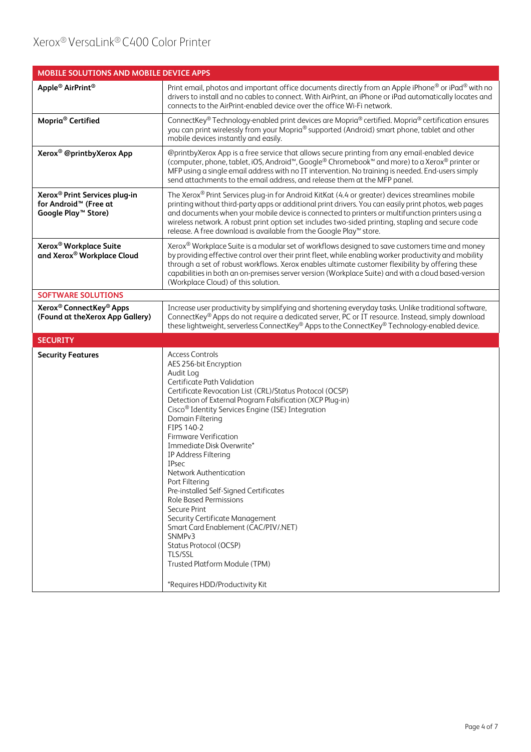| MOBILE SOLUTIONS AND MOBILE DEVICE APPS                                                                           |                                                                                                                                                                                                                                                                                                                                                                                                                                                                                                                                                                                                                                                                                                                                                                   |
|-------------------------------------------------------------------------------------------------------------------|-------------------------------------------------------------------------------------------------------------------------------------------------------------------------------------------------------------------------------------------------------------------------------------------------------------------------------------------------------------------------------------------------------------------------------------------------------------------------------------------------------------------------------------------------------------------------------------------------------------------------------------------------------------------------------------------------------------------------------------------------------------------|
| Apple <sup>®</sup> AirPrint <sup>®</sup>                                                                          | Print email, photos and important office documents directly from an Apple iPhone® or iPad® with no<br>drivers to install and no cables to connect. With AirPrint, an iPhone or iPad automatically locates and<br>connects to the AirPrint-enabled device over the office Wi-Fi network.                                                                                                                                                                                                                                                                                                                                                                                                                                                                           |
| Mopria <sup>®</sup> Certified                                                                                     | ConnectKey® Technology-enabled print devices are Mopria® certified. Mopria® certification ensures<br>you can print wirelessly from your Mopria® supported (Android) smart phone, tablet and other<br>mobile devices instantly and easily.                                                                                                                                                                                                                                                                                                                                                                                                                                                                                                                         |
| Xerox <sup>®</sup> @printbyXerox App                                                                              | @printbyXerox App is a free service that allows secure printing from any email-enabled device<br>(computer, phone, tablet, iOS, Android <sup>™</sup> , Google® Chromebook <sup>™</sup> and more) to a Xerox® printer or<br>MFP using a single email address with no IT intervention. No training is needed. End-users simply<br>send attachments to the email address, and release them at the MFP panel.                                                                                                                                                                                                                                                                                                                                                         |
| Xerox <sup>®</sup> Print Services plug-in<br>for Android <sup>™</sup> (Free at<br>Google Play <sup>™</sup> Store) | The Xerox® Print Services plug-in for Android KitKat (4.4 or greater) devices streamlines mobile<br>printing without third-party apps or additional print drivers. You can easily print photos, web pages<br>and documents when your mobile device is connected to printers or multifunction printers using a<br>wireless network. A robust print option set includes two-sided printing, stapling and secure code<br>release. A free download is available from the Google Play™ store.                                                                                                                                                                                                                                                                          |
| Xerox <sup>®</sup> Workplace Suite<br>and Xerox® Workplace Cloud                                                  | Xerox® Workplace Suite is a modular set of workflows designed to save customers time and money<br>by providing effective control over their print fleet, while enabling worker productivity and mobility<br>through a set of robust workflows. Xerox enables ultimate customer flexibility by offering these<br>capabilities in both an on-premises server version (Workplace Suite) and with a cloud based-version<br>(Workplace Cloud) of this solution.                                                                                                                                                                                                                                                                                                        |
| <b>SOFTWARE SOLUTIONS</b>                                                                                         |                                                                                                                                                                                                                                                                                                                                                                                                                                                                                                                                                                                                                                                                                                                                                                   |
| Xerox <sup>®</sup> ConnectKey <sup>®</sup> Apps<br>(Found at the Xerox App Gallery)                               | Increase user productivity by simplifying and shortening everyday tasks. Unlike traditional software,<br>ConnectKey® Apps do not require a dedicated server, PC or IT resource. Instead, simply download<br>these lightweight, serverless ConnectKey® Apps to the ConnectKey® Technology-enabled device.                                                                                                                                                                                                                                                                                                                                                                                                                                                          |
| <b>SECURITY</b>                                                                                                   |                                                                                                                                                                                                                                                                                                                                                                                                                                                                                                                                                                                                                                                                                                                                                                   |
| <b>Security Features</b>                                                                                          | <b>Access Controls</b><br>AES 256-bit Encryption<br>Audit Log<br>Certificate Path Validation<br>Certificate Revocation List (CRL)/Status Protocol (OCSP)<br>Detection of External Program Falsification (XCP Plug-in)<br>Cisco <sup>®</sup> Identity Services Engine (ISE) Integration<br>Domain Filtering<br>FIPS 140-2<br><b>Firmware Verification</b><br>Immediate Disk Overwrite*<br>IP Address Filtering<br><b>IPsec</b><br>Network Authentication<br>Port Filtering<br>Pre-installed Self-Signed Certificates<br><b>Role Based Permissions</b><br>Secure Print<br>Security Certificate Management<br>Smart Card Enablement (CAC/PIV/.NET)<br>SNMPv3<br>Status Protocol (OCSP)<br>TLS/SSL<br>Trusted Platform Module (TPM)<br>*Requires HDD/Productivity Kit |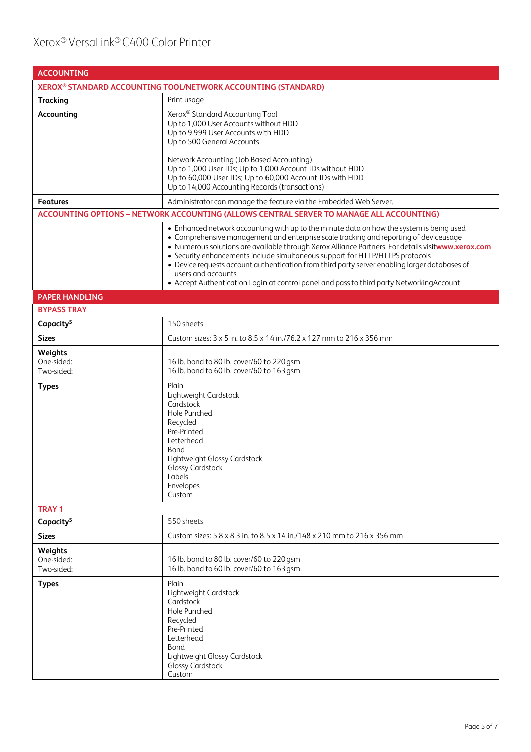| <b>ACCOUNTING</b>                   |                                                                                                                                                                                                                                                                                                                                                                                                                                                                                                                                                                                             |  |
|-------------------------------------|---------------------------------------------------------------------------------------------------------------------------------------------------------------------------------------------------------------------------------------------------------------------------------------------------------------------------------------------------------------------------------------------------------------------------------------------------------------------------------------------------------------------------------------------------------------------------------------------|--|
|                                     | XEROX <sup>®</sup> STANDARD ACCOUNTING TOOL/NETWORK ACCOUNTING (STANDARD)                                                                                                                                                                                                                                                                                                                                                                                                                                                                                                                   |  |
| <b>Tracking</b>                     | Print usage                                                                                                                                                                                                                                                                                                                                                                                                                                                                                                                                                                                 |  |
| Accounting                          | Xerox® Standard Accounting Tool<br>Up to 1,000 User Accounts without HDD<br>Up to 9,999 User Accounts with HDD<br>Up to 500 General Accounts<br>Network Accounting (Job Based Accounting)<br>Up to 1,000 User IDs; Up to 1,000 Account IDs without HDD                                                                                                                                                                                                                                                                                                                                      |  |
|                                     | Up to 60,000 User IDs; Up to 60,000 Account IDs with HDD<br>Up to 14,000 Accounting Records (transactions)                                                                                                                                                                                                                                                                                                                                                                                                                                                                                  |  |
| <b>Features</b>                     | Administrator can manage the feature via the Embedded Web Server.                                                                                                                                                                                                                                                                                                                                                                                                                                                                                                                           |  |
|                                     | ACCOUNTING OPTIONS - NETWORK ACCOUNTING (ALLOWS CENTRAL SERVER TO MANAGE ALL ACCOUNTING)                                                                                                                                                                                                                                                                                                                                                                                                                                                                                                    |  |
|                                     | • Enhanced network accounting with up to the minute data on how the system is being used<br>• Comprehensive management and enterprise scale tracking and reporting of deviceusage<br>. Numerous solutions are available through Xerox Alliance Partners. For details visitwww.xerox.com<br>• Security enhancements include simultaneous support for HTTP/HTTPS protocols<br>• Device requests account authentication from third party server enabling larger databases of<br>users and accounts<br>• Accept Authentication Login at control panel and pass to third party NetworkingAccount |  |
| <b>PAPER HANDLING</b>               |                                                                                                                                                                                                                                                                                                                                                                                                                                                                                                                                                                                             |  |
| <b>BYPASS TRAY</b>                  |                                                                                                                                                                                                                                                                                                                                                                                                                                                                                                                                                                                             |  |
| Capacity <sup>5</sup>               | 150 sheets                                                                                                                                                                                                                                                                                                                                                                                                                                                                                                                                                                                  |  |
| <b>Sizes</b>                        | Custom sizes: 3 x 5 in. to 8.5 x 14 in./76.2 x 127 mm to 216 x 356 mm                                                                                                                                                                                                                                                                                                                                                                                                                                                                                                                       |  |
| Weights<br>One-sided:<br>Two-sided: | 16 lb. bond to 80 lb. cover/60 to 220 gsm<br>16 lb. bond to 60 lb. cover/60 to 163 gsm                                                                                                                                                                                                                                                                                                                                                                                                                                                                                                      |  |
| <b>Types</b>                        | Plain<br>Lightweight Cardstock<br>Cardstock<br>Hole Punched<br>Recycled<br>Pre-Printed<br>Letterhead<br><b>Bond</b><br>Lightweight Glossy Cardstock<br>Glossy Cardstock<br>Labels<br>Envelopes<br>Custom                                                                                                                                                                                                                                                                                                                                                                                    |  |
| <b>TRAY 1</b>                       |                                                                                                                                                                                                                                                                                                                                                                                                                                                                                                                                                                                             |  |
| Capacity <sup>5</sup>               | 550 sheets                                                                                                                                                                                                                                                                                                                                                                                                                                                                                                                                                                                  |  |
| <b>Sizes</b>                        | Custom sizes: 5.8 x 8.3 in. to 8.5 x 14 in./148 x 210 mm to 216 x 356 mm                                                                                                                                                                                                                                                                                                                                                                                                                                                                                                                    |  |
| Weights<br>One-sided:<br>Two-sided: | 16 lb. bond to 80 lb. cover/60 to 220 gsm<br>16 lb. bond to 60 lb. cover/60 to 163 gsm                                                                                                                                                                                                                                                                                                                                                                                                                                                                                                      |  |
| <b>Types</b>                        | Plain<br>Lightweight Cardstock<br>Cardstock<br>Hole Punched<br>Recycled<br>Pre-Printed<br>Letterhead<br>Bond<br>Lightweight Glossy Cardstock<br><b>Glossy Cardstock</b><br>Custom                                                                                                                                                                                                                                                                                                                                                                                                           |  |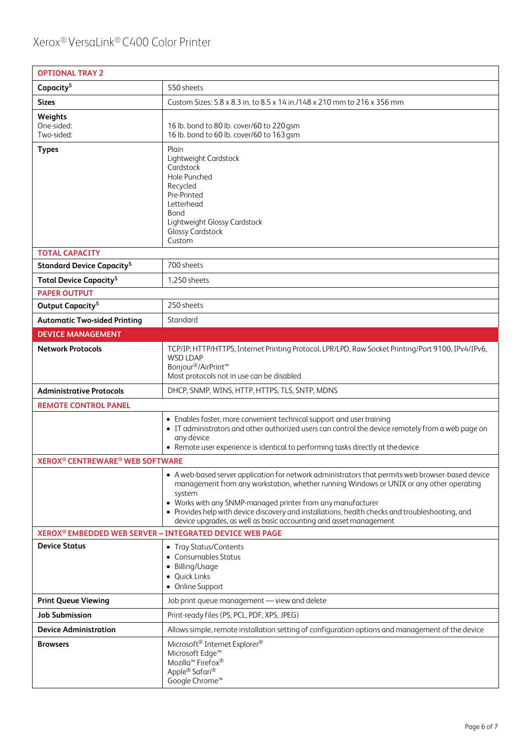| <b>OPTIONAL TRAY 2</b>                                          |                                                                                                                                                                                                                                                                                                                                                                                                                                               |  |
|-----------------------------------------------------------------|-----------------------------------------------------------------------------------------------------------------------------------------------------------------------------------------------------------------------------------------------------------------------------------------------------------------------------------------------------------------------------------------------------------------------------------------------|--|
| Capacity <sup>5</sup>                                           | 550 sheets                                                                                                                                                                                                                                                                                                                                                                                                                                    |  |
| <b>Sizes</b>                                                    | Custom Sizes: 5.8 x 8.3 in. to 8.5 x 14 in./148 x 210 mm to 216 x 356 mm                                                                                                                                                                                                                                                                                                                                                                      |  |
| Weights<br>One-sided:<br>Two-sided:                             | 16 lb. bond to 80 lb. cover/60 to 220 gsm<br>16 lb. bond to 60 lb. cover/60 to 163 gsm                                                                                                                                                                                                                                                                                                                                                        |  |
| <b>Types</b><br><b>TOTAL CAPACITY</b>                           | Plain<br>Lightweight Cardstock<br>Cardstock<br>Hole Punched<br>Recycled<br>Pre-Printed<br>Letterhead<br>Bond<br>Lightweight Glossy Cardstock<br><b>Glossy Cardstock</b><br>Custom                                                                                                                                                                                                                                                             |  |
| <b>Standard Device Capacity<sup>5</sup></b>                     | 700 sheets                                                                                                                                                                                                                                                                                                                                                                                                                                    |  |
|                                                                 | 1,250 sheets                                                                                                                                                                                                                                                                                                                                                                                                                                  |  |
| <b>Total Device Capacity<sup>5</sup></b><br><b>PAPER OUTPUT</b> |                                                                                                                                                                                                                                                                                                                                                                                                                                               |  |
| Output Capacity <sup>5</sup>                                    | 250 sheets                                                                                                                                                                                                                                                                                                                                                                                                                                    |  |
| <b>Automatic Two-sided Printing</b>                             | Standard                                                                                                                                                                                                                                                                                                                                                                                                                                      |  |
| <b>DEVICE MANAGEMENT</b>                                        |                                                                                                                                                                                                                                                                                                                                                                                                                                               |  |
| <b>Network Protocols</b>                                        | TCP/IP: HTTP/HTTPS, Internet Printing Protocol, LPR/LPD, Raw Socket Printing/Port 9100, IPv4/IPv6,<br><b>WSD LDAP</b><br>Bonjour <sup>®</sup> /AirPrint <sup>™</sup><br>Most protocols not in use can be disabled                                                                                                                                                                                                                             |  |
| <b>Administrative Protocols</b>                                 | DHCP, SNMP, WINS, HTTP, HTTPS, TLS, SNTP, MDNS                                                                                                                                                                                                                                                                                                                                                                                                |  |
| <b>REMOTE CONTROL PANEL</b>                                     |                                                                                                                                                                                                                                                                                                                                                                                                                                               |  |
|                                                                 | • Enables faster, more convenient technical support and user training<br>• IT administrators and other authorized users can control the device remotely from a web page on<br>any device<br>• Remote user experience is identical to performing tasks directly at the device                                                                                                                                                                  |  |
| <b>XEROX<sup>®</sup> CENTREWARE<sup>®</sup> WEB SOFTWARE</b>    |                                                                                                                                                                                                                                                                                                                                                                                                                                               |  |
|                                                                 | • A web-based server application for network administrators that permits web browser-based device<br>management from any workstation, whether running Windows or UNIX or any other operating<br>system<br>• Works with any SNMP-managed printer from any manufacturer<br>• Provides help with device discovery and installations, health checks and troubleshooting, and<br>device upgrades, as well as basic accounting and asset management |  |
| XEROX® EMBEDDED WEB SERVER - INTEGRATED DEVICE WEB PAGE         |                                                                                                                                                                                                                                                                                                                                                                                                                                               |  |
| <b>Device Status</b>                                            | • Tray Status/Contents<br>• Consumables Status<br>• Billing/Usage<br>• Quick Links<br>• Online Support                                                                                                                                                                                                                                                                                                                                        |  |
| <b>Print Queue Viewing</b>                                      | Job print queue management - view and delete                                                                                                                                                                                                                                                                                                                                                                                                  |  |
| <b>Job Submission</b>                                           | Print-ready files (PS, PCL, PDF, XPS, JPEG)                                                                                                                                                                                                                                                                                                                                                                                                   |  |
| <b>Device Administration</b>                                    | Allows simple, remote installation setting of configuration options and management of the device                                                                                                                                                                                                                                                                                                                                              |  |
| <b>Browsers</b>                                                 | Microsoft® Internet Explorer®<br>Microsoft Edge <sup>™</sup><br>Mozilla <sup>™</sup> Firefox <sup>®</sup><br>Apple® Safari®<br>Google Chrome™                                                                                                                                                                                                                                                                                                 |  |